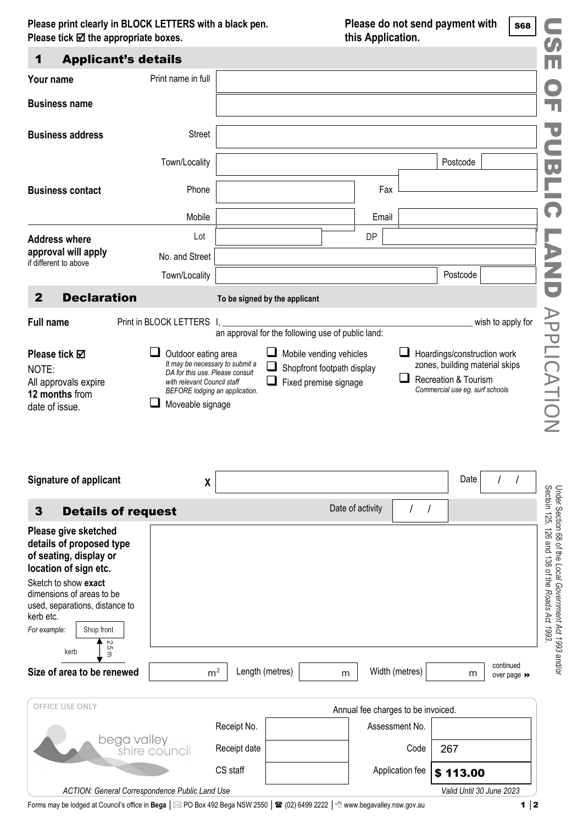**Please print clearly in BLOCK LETTERS with a black pen. Please do not send payment with Please tick**  $\textbf{⊠}$  **the appropriate boxes. this Application.** 

| Please print clearly in BLOCK LETTERS with a black pen.<br>Please tick $\boxtimes$ the appropriate boxes.                                                                                                                                              | Please do not send payment with<br>this Application.                                                                 |              |                                                          |           |                  | <b>S68</b><br>$\bm{O}$             |                                                         |                          |                                                                                                                             |
|--------------------------------------------------------------------------------------------------------------------------------------------------------------------------------------------------------------------------------------------------------|----------------------------------------------------------------------------------------------------------------------|--------------|----------------------------------------------------------|-----------|------------------|------------------------------------|---------------------------------------------------------|--------------------------|-----------------------------------------------------------------------------------------------------------------------------|
| 1                                                                                                                                                                                                                                                      | <b>Applicant's details</b>                                                                                           |              |                                                          |           |                  |                                    |                                                         |                          | Ш                                                                                                                           |
| Your name                                                                                                                                                                                                                                              | Print name in full                                                                                                   |              |                                                          |           |                  |                                    |                                                         |                          |                                                                                                                             |
| <b>Business name</b>                                                                                                                                                                                                                                   |                                                                                                                      |              |                                                          |           |                  |                                    |                                                         |                          | п                                                                                                                           |
| <b>Business address</b>                                                                                                                                                                                                                                | Street                                                                                                               |              |                                                          |           |                  |                                    |                                                         |                          | $\blacksquare$                                                                                                              |
|                                                                                                                                                                                                                                                        | Town/Locality                                                                                                        |              |                                                          |           |                  |                                    | Postcode                                                |                          | $\overline{\mathbf{v}}$                                                                                                     |
| <b>Business contact</b>                                                                                                                                                                                                                                | Phone                                                                                                                |              |                                                          |           | Fax              |                                    |                                                         |                          |                                                                                                                             |
|                                                                                                                                                                                                                                                        | Mobile                                                                                                               |              |                                                          |           | Email            |                                    |                                                         |                          | 0                                                                                                                           |
| <b>Address where</b>                                                                                                                                                                                                                                   | Lot                                                                                                                  |              |                                                          |           | DP               |                                    |                                                         |                          |                                                                                                                             |
| approval will apply<br>if different to above                                                                                                                                                                                                           | No. and Street                                                                                                       |              |                                                          |           |                  |                                    |                                                         |                          | $\overline{\phantom{a}}$                                                                                                    |
|                                                                                                                                                                                                                                                        | Town/Locality                                                                                                        |              |                                                          |           |                  |                                    | Postcode                                                |                          | Z                                                                                                                           |
| $\overline{2}$<br><b>Declaration</b>                                                                                                                                                                                                                   |                                                                                                                      |              | To be signed by the applicant                            |           |                  |                                    |                                                         |                          | $\overline{\phantom{0}}$                                                                                                    |
| <b>Full name</b>                                                                                                                                                                                                                                       | Print in BLOCK LETTERS                                                                                               |              |                                                          |           |                  |                                    |                                                         | wish to apply for        |                                                                                                                             |
|                                                                                                                                                                                                                                                        |                                                                                                                      |              | an approval for the following use of public land:        |           |                  |                                    |                                                         |                          |                                                                                                                             |
| NOTE:<br>All approvals expire<br>12 months from<br>date of issue.                                                                                                                                                                                      | DA for this use. Please consult<br>with relevant Council staff<br>BEFORE lodging an application.<br>Moveable signage |              | Shopfront footpath display<br>Fixed premise signage<br>⊔ |           |                  | ப                                  | Recreation & Tourism<br>Commercial use eg. surf schools |                          | APPLICATION                                                                                                                 |
| <b>Signature of applicant</b>                                                                                                                                                                                                                          | $\pmb{\mathsf{X}}$                                                                                                   |              |                                                          |           |                  |                                    | Date                                                    |                          |                                                                                                                             |
| $\mathbf{3}$<br><b>Details of request</b>                                                                                                                                                                                                              |                                                                                                                      |              |                                                          |           | Date of activity | $\prime$<br>$\sqrt{ }$             |                                                         |                          |                                                                                                                             |
| Please give sketched<br>details of proposed type<br>of seating, display or<br>location of sign etc.<br>Sketch to show exact<br>dimensions of areas to be<br>used, separations, distance to<br>kerb etc.<br>For example:<br>Shop front<br>2.5 m<br>kerb |                                                                                                                      |              |                                                          |           |                  |                                    |                                                         |                          | Under Section 68 of the <i>Local Government Act 1993 a</i> nd/or<br>Sectoin 125, 126 and 138 of the <i>Roads Act 1993</i> . |
| Size of area to be renewed                                                                                                                                                                                                                             | m <sup>2</sup>                                                                                                       |              | Length (metres)                                          | ${\sf m}$ |                  | Width (metres)                     | m                                                       | continued<br>over page ▶ |                                                                                                                             |
| <b>OFFICE USE ONLY</b>                                                                                                                                                                                                                                 |                                                                                                                      |              |                                                          |           |                  | Annual fee charges to be invoiced. |                                                         |                          |                                                                                                                             |
|                                                                                                                                                                                                                                                        |                                                                                                                      | Receipt No.  |                                                          |           |                  | Assessment No.                     |                                                         |                          |                                                                                                                             |
|                                                                                                                                                                                                                                                        | bega valley<br>shire council                                                                                         | Receipt date |                                                          |           |                  | Code                               | 267                                                     |                          |                                                                                                                             |
|                                                                                                                                                                                                                                                        |                                                                                                                      | CS staff     |                                                          |           |                  | Application fee                    | \$113.00                                                |                          |                                                                                                                             |
|                                                                                                                                                                                                                                                        | ACTION: General Correspondence Public Land Use                                                                       |              |                                                          |           |                  |                                    | Valid Until 30 June 2023                                |                          |                                                                                                                             |

Forms may be lodged at Council's office in **Bega** │  $\boxtimes$  PO Box 492 Bega NSW 2550 │ **2** (02) 6499 2222 │ 个 [www.begavalley.nsw.gov.au](http://www.begavalley.nsw.gov.au/) 1 │ 2